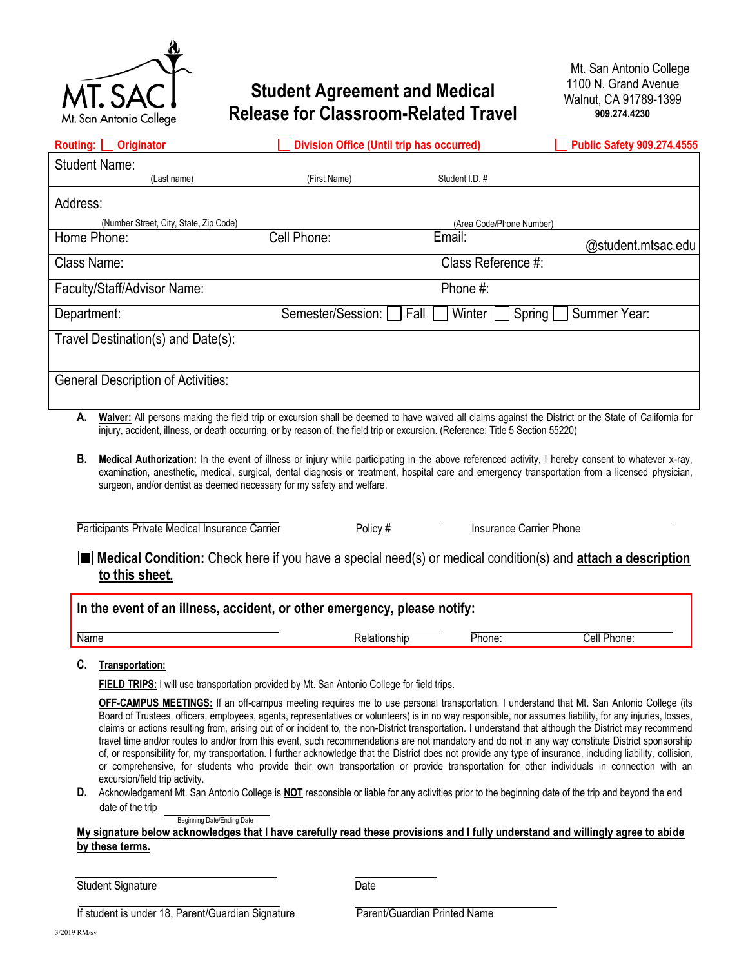

## **Student Agreement and Medical Release for Classroom-Related Travel**

Mt. San Antonio College 1100 N. Grand Avenue Walnut, CA 91789-1399 **909.274.4230** 

| <b>Originator</b><br>Routing: $\Box$      | <b>Division Office (Until trip has occurred)</b> |                 | <b>Public Safety 909.274.4555</b>                                                                                                                                                                                              |
|-------------------------------------------|--------------------------------------------------|-----------------|--------------------------------------------------------------------------------------------------------------------------------------------------------------------------------------------------------------------------------|
| <b>Student Name:</b>                      |                                                  |                 |                                                                                                                                                                                                                                |
| (Last name)                               | (First Name)                                     | Student I.D. #  |                                                                                                                                                                                                                                |
| Address:                                  |                                                  |                 |                                                                                                                                                                                                                                |
| (Number Street, City, State, Zip Code)    | (Area Code/Phone Number)                         |                 |                                                                                                                                                                                                                                |
| Home Phone:                               | Cell Phone:                                      | Email:          | @student.mtsac.edu                                                                                                                                                                                                             |
| Class Name:                               | Class Reference #:                               |                 |                                                                                                                                                                                                                                |
| Faculty/Staff/Advisor Name:               |                                                  | Phone #:        |                                                                                                                                                                                                                                |
| Department:                               | Semester/Session:                                | TFall<br>Winter | Spring<br>Summer Year:                                                                                                                                                                                                         |
| Travel Destination(s) and Date(s):        |                                                  |                 |                                                                                                                                                                                                                                |
|                                           |                                                  |                 |                                                                                                                                                                                                                                |
| <b>General Description of Activities:</b> |                                                  |                 |                                                                                                                                                                                                                                |
|                                           |                                                  |                 | THE ALL CHARGES IN THE RESIDENCE OF THE RESIDENCE OF A RESIDENCE OF A RESIDENCE OF A RESIDENCE OF A RESIDENCE OF A RESIDENCE OF A RESIDENCE OF A RESIDENCE OF A RESIDENCE OF A RESIDENCE OF A RESIDENCE OF A RESIDENCE OF A RE |

- **A. Waiver:** All persons making the field trip or excursion shall be deemed to have waived all claims against the District or the State of California for injury, accident, illness, or death occurring, or by reason of, the field trip or excursion. (Reference: Title 5 Section 55220)
- **B. Medical Authorization:** In the event of illness or injury while participating in the above referenced activity, I hereby consent to whatever x-ray, examination, anesthetic, medical, surgical, dental diagnosis or treatment, hospital care and emergency transportation from a licensed physician, surgeon, and/or dentist as deemed necessary for my safety and welfare.

Participants Private Medical Insurance Carrier **Figure 1** Policy # **Insurance Carrier Phone** 

**Medical Condition:** Check here if you have a special need(s) or medical condition(s) and **attach a description to this sheet.** 

| In the event of an illness, accident, or other emergency, please notify: |              |        |             |  |  |
|--------------------------------------------------------------------------|--------------|--------|-------------|--|--|
| Name                                                                     | Relationship | Phone: | Cell Phone: |  |  |

**C. Transportation:** 

**FIELD TRIPS:** I will use transportation provided by Mt. San Antonio College for field trips.

**OFF-CAMPUS MEETINGS:** If an off-campus meeting requires me to use personal transportation, I understand that Mt. San Antonio College (its Board of Trustees, officers, employees, agents, representatives or volunteers) is in no way responsible, nor assumes liability, for any injuries, losses, claims or actions resulting from, arising out of or incident to, the non-District transportation. I understand that although the District may recommend travel time and/or routes to and/or from this event, such recommendations are not mandatory and do not in any way constitute District sponsorship of, or responsibility for, my transportation. I further acknowledge that the District does not provide any type of insurance, including liability, collision, or comprehensive, for students who provide their own transportation or provide transportation for other individuals in connection with an excursion/field trip activity.

**D.** Acknowledgement Mt. San Antonio College is **NOT** responsible or liable for any activities prior to the beginning date of the trip and beyond the end date of the trip

Beginning Date/Ending Date

**My signature below acknowledges that I have carefully read these provisions and I fully understand and willingly agree to abide by these terms.** 

Student Signature Date

If student is under 18, Parent/Guardian Signature

Parent/Guardian Printed Name